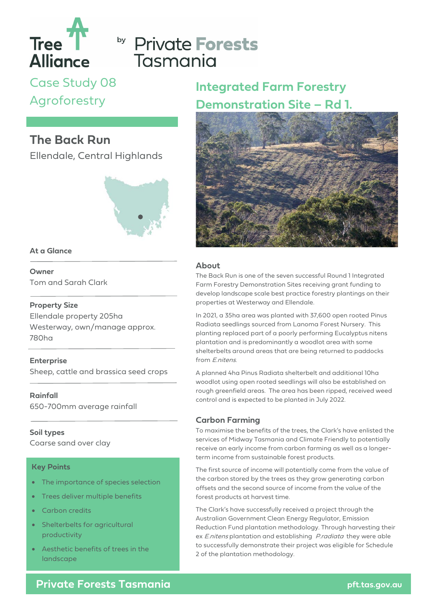

# by Private Forests Tasmania

Case Study 08 Agroforestry

## **The Back Run**

Ellendale, Central Highlands



### **At a Glance**

**Owner** Tom and Sarah Clark

### **Property Size**

Ellendale property 205ha Westerway, own/manage approx. 780ha

**Enterprise** Sheep, cattle and brassica seed crops

**Rainfall** 650-700mm average rainfall

### **Soil types**

Coarse sand over clay

### **Key Points**

- The importance of species selection
- Trees deliver multiple benefits
- Carbon credits
- Shelterbelts for agricultural productivity
- Aesthetic benefits of trees in the landscape

## **Integrated Farm Forestry Demonstration Site – Rd 1.**



### **About**

The Back Run is one of the seven successful Round 1 Integrated Farm Forestry Demonstration Sites receiving grant funding to develop landscape scale best practice forestry plantings on their properties at Westerway and Ellendale.

In 2021, a 35ha area was planted with 37,600 open rooted Pinus Radiata seedlings sourced from Lanoma Forest Nursery. This planting replaced part of a poorly performing Eucalyptus nitens plantation and is predominantly a woodlot area with some shelterbelts around areas that are being returned to paddocks from E.nitens.

A planned 4ha Pinus Radiata shelterbelt and additional 10ha woodlot using open rooted seedlings will also be established on rough greenfield areas. The area has been ripped, received weed control and is expected to be planted in July 2022.

### **Carbon Farming**

To maximise the benefits of the trees, the Clark's have enlisted the services of Midway Tasmania and Climate Friendly to potentially receive an early income from carbon farming as well as a longerterm income from sustainable forest products.

The first source of income will potentially come from the value of the carbon stored by the trees as they grow generating carbon offsets and the second source of income from the value of the forest products at harvest time.

The Clark's have successfully received a project through the Australian Government Clean Energy Regulator, Emission Reduction Fund plantation methodology. Through harvesting their ex *E.nitens* plantation and establishing *P.radiata* they were able to successfully demonstrate their project was eligible for Schedule 2 of the plantation methodology.

**Private Forests Tasmania** *private Forests Tasmania**pft.tas.gov.au*